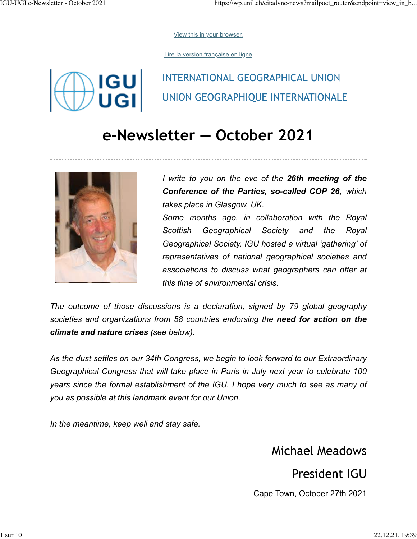[View this in your browser.](https://wp.unil.ch/citadyne-news?mailpoet_router&endpoint=view_in_browser&action=view&data=WzE0LCJmNGYyN2ZlYTA4MDkiLDAsMCwyOSwxXQ)

[Lire la version française en ligne](https://wp.unil.ch/citadyne-news?mailpoet_router&endpoint=view_in_browser&action=view&data=WzE2LCJiMDVjYTlhNzk3MDgiLDAsMCwwLDFd&utm_source=mailpoet&utm_medium=email&utm_campaign=igu-ugi-e-newsletter-june-2021)

**IGU** 

# INTERNATIONAL GEOGRAPHICAL UNION UNION GEOGRAPHIQUE INTERNATIONALE

# **e-Newsletter — October 2021**



*I write to you on the eve of the 26th meeting of the Conference of the Parties, so-called COP 26, which takes place in Glasgow, UK. Some months ago, in collaboration with the Royal Scottish Geographical Society and the Royal Geographical Society, IGU hosted a virtual 'gathering' of representatives of national geographical societies and associations to discuss what geographers can offer at this time of environmental crisis.*

*The outcome of those discussions is a declaration, signed by 79 global geography societies and organizations from 58 countries endorsing the need for action on the climate and nature crises (see below).*

*As the dust settles on our 34th Congress, we begin to look forward to our Extraordinary Geographical Congress that will take place in Paris in July next year to celebrate 100 years since the formal establishment of the IGU. I hope very much to see as many of you as possible at this landmark event for our Union.*

*In the meantime, keep well and stay safe.*

### Michael Meadows

President IGU

Cape Town, October 27th 2021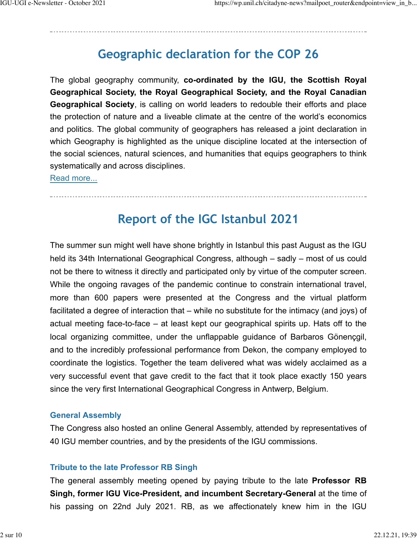## **Geographic declaration for the COP 26**

The global geography community, **co-ordinated by the IGU, the Scottish Royal Geographical Society, the Royal Geographical Society, and the Royal Canadian Geographical Society**, is calling on world leaders to redouble their efforts and place the protection of nature and a liveable climate at the centre of the world's economics and politics. The global community of geographers has released a joint declaration in which Geography is highlighted as the unique discipline located at the intersection of the social sciences, natural sciences, and humanities that equips geographers to think systematically and across disciplines.

[Read more...](https://igu-online.org/worlds-geography-community-calls-for-a-global-redoubling-of-efforts-to-confront-climate-change-and-nature-loss/)

### **Report of the IGC Istanbul 2021**

The summer sun might well have shone brightly in Istanbul this past August as the IGU held its 34th International Geographical Congress, although – sadly – most of us could not be there to witness it directly and participated only by virtue of the computer screen. While the ongoing ravages of the pandemic continue to constrain international travel, more than 600 papers were presented at the Congress and the virtual platform facilitated a degree of interaction that – while no substitute for the intimacy (and joys) of actual meeting face-to-face – at least kept our geographical spirits up. Hats off to the local organizing committee, under the unflappable guidance of Barbaros Gönençgil, and to the incredibly professional performance from Dekon, the company employed to coordinate the logistics. Together the team delivered what was widely acclaimed as a very successful event that gave credit to the fact that it took place exactly 150 years since the very first International Geographical Congress in Antwerp, Belgium.

#### **General Assembly**

The Congress also hosted an online General Assembly, attended by representatives of 40 IGU member countries, and by the presidents of the IGU commissions.

#### **Tribute to the late Professor RB Singh**

The general assembly meeting opened by paying tribute to the late **Professor RB Singh, former IGU Vice-President, and incumbent Secretary-General** at the time of his passing on 22nd July 2021. RB, as we affectionately knew him in the IGU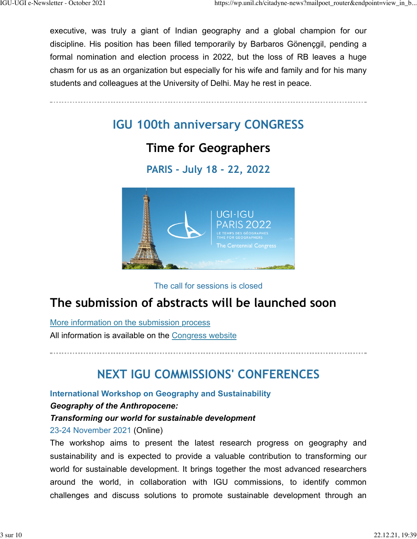executive, was truly a giant of Indian geography and a global champion for our discipline. His position has been filled temporarily by Barbaros Gönençgil, pending a formal nomination and election process in 2022, but the loss of RB leaves a huge chasm for us as an organization but especially for his wife and family and for his many students and colleagues at the University of Delhi. May he rest in peace.

**IGU 100th anniversary CONGRESS**

### **Time for Geographers**

**PARIS - July 18 - 22, 2022**



The call for sessions is closed

### **The submission of abstracts will be launched soon**

[More information on the submission process](https://www.ugiparis2022.org/en/sessionsubmission/5)

All information is available on the [Congress website](https://www.ugiparis2022.org/index.php?langue=en&onglet=4)

# **NEXT IGU COMMISSIONS' CONFERENCES**

**International Workshop on Geography and Sustainability**

#### *Geography of the Anthropocene:*

#### *Transforming our world for sustainable development*

23-24 November 2021 (Online)

The workshop aims to present the latest research progress on geography and sustainability and is expected to provide a valuable contribution to transforming our world for sustainable development. It brings together the most advanced researchers around the world, in collaboration with IGU commissions, to identify common challenges and discuss solutions to promote sustainable development through an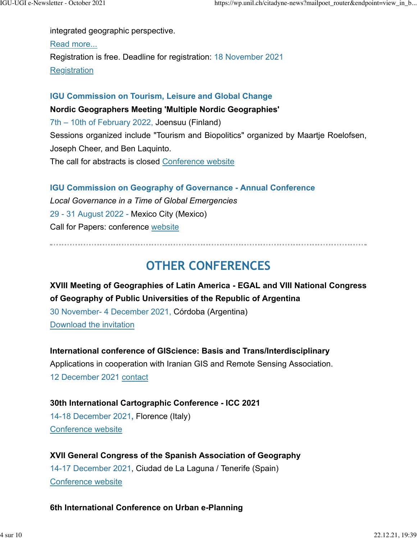integrated geographic perspective. [Read more...](https://geosus2021.scievent.com/) Registration is free. Deadline for registration: 18 November 2021 **[Registration](mailto:geosus2021@outlook.com)** 

#### **IGU Commission on Tourism, Leisure and Global Change**

**Nordic Geographers Meeting 'Multiple Nordic Geographies'** 7th – 10th of February 2022, Joensuu (Finland) Sessions organized include "Tourism and Biopolitics" organized by Maartje Roelofsen, Joseph Cheer, and Ben Laquinto. The call for abstracts is closed [Conference website](https://www.ngm2021.fi/)

**IGU Commission on Geography of Governance - Annual Conference** *Local Governance in a Time of Global Emergencies* 29 - 31 August 2022 - Mexico City (Mexico) Call for Papers: conference [website](https://sites.google.com/view/geogov2022/home)

### **OTHER CONFERENCES**

**XVIII Meeting of Geographies of Latin America - EGAL and VIII National Congress of Geography of Public Universities of the Republic of Argentina** 30 November- 4 December 2021, Córdoba (Argentina) [Download the invitation](https://www.age-geografia.es/site/wp-content/uploads/2020/11/documentos_doc_4.pdf)

**International conference of GIScience: Basis and Trans/Interdisciplinary**

Applications in cooperation with Iranian GIS and Remote Sensing Association. 12 December 2021 [contact](mailto:m.minaei@um.ac.ir)

### **30th International Cartographic Conference - ICC 2021** 14-18 December 2021**,** Florence (Italy)

[Conference website](https://www.icc2021.net/)

**XVII General Congress of the Spanish Association of Geography** 14-17 December 2021, Ciudad de La Laguna / Tenerife (Spain) [Conference website](https://xxviicongresodegeografia.es/)

#### **6th International Conference on Urban e-Planning**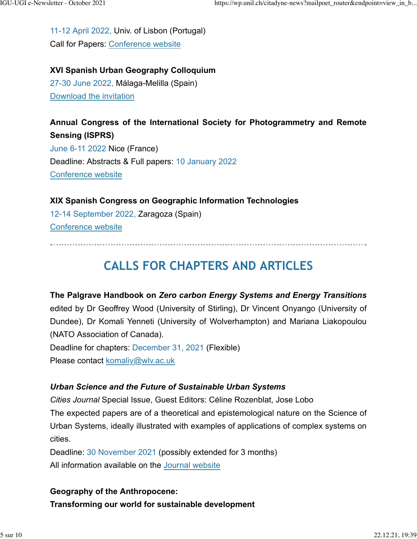11-12 April 2022, Univ. of Lisbon (Portugal) Call for Papers: [Conference website](https://sites.google.com/view/uep2022conference/home)

**XVI Spanish Urban Geography Colloquium** 27-30 June 2022, Málaga-Melilla (Spain) [Download the invitation](https://www.age-geografia.es/site/wp-content/uploads/2021/07/1Circular_ColoquioUrbana_Malaga-Melilla_Jun22-1.pdf)

**Annual Congress of the International Society for Photogrammetry and Remote Sensing (ISPRS)** June 6-11 2022 Nice (France) Deadline: Abstracts & Full papers: 10 January 2022 [Conference website](https://www.isprs2022-nice.com/)

#### **XIX Spanish Congress on Geographic Information Technologies**

12-14 September 2022, Zaragoza (Spain) [Conference website](http://eventos.unizar.es/69331/detail/xix-congreso-de-tecnologias-de-la-informacion-geografica.html)

## **CALLS FOR CHAPTERS AND ARTICLES**

**The Palgrave Handbook on** *Zero carbon Energy Systems and Energy Transitions* edited by Dr Geoffrey Wood (University of Stirling), Dr Vincent Onyango (University of Dundee), Dr Komali Yenneti (University of Wolverhampton) and Mariana Liakopoulou (NATO Association of Canada). Deadline for chapters: December 31, 2021 (Flexible)

Please contact [komaliy@wlv.ac.uk](mailto:komaliy@wlv.ac.uk)

#### *Urban Science and the Future of Sustainable Urban Systems*

*Cities Journal* Special Issue, Guest Editors: Céline Rozenblat, Jose Lobo The expected papers are of a theoretical and epistemological nature on the Science of Urban Systems, ideally illustrated with examples of applications of complex systems on

cities.

Deadline: 30 November 2021 (possibly extended for 3 months) All information available on the [Journal website](https://www.journals.elsevier.com/cities/call-for-papers/urban-science-and-the-future-of-sustainable-urban-systems)

### **Geography of the Anthropocene:**

**Transforming our world for sustainable development**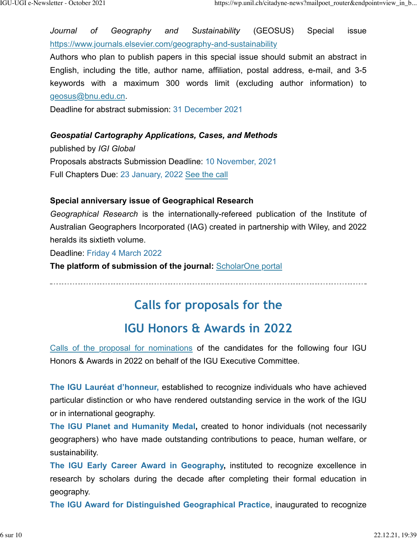*Journal of Geography and Sustainability* (GEOSUS) Special issue <https://www.journals.elsevier.com/geography-and-sustainability>

Authors who plan to publish papers in this special issue should submit an abstract in English, including the title, author name, affiliation, postal address, e-mail, and 3-5 keywords with a maximum 300 words limit (excluding author information) to [geosus@bnu.edu.cn.](mailto:geosus@bnu.edu.cn)

Deadline for abstract submission: 31 December 2021

#### *Geospatial Cartography Applications, Cases, and Methods*

published by *IGI Global* Proposals abstracts Submission Deadline: 10 November, 2021 Full Chapters Due: 23 January, 2022 [See the call](https://www.igi-global.com/publish/call-for-papers/call-details/5565)

#### **Special anniversary issue of Geographical Research**

*Geographical Research* is the internationally-refereed publication of the Institute of Australian Geographers Incorporated (IAG) created in partnership with Wiley, and 2022 heralds its sixtieth volume.

Deadline: Friday 4 March 2022

**The platform of submission of the journal:** [ScholarOne portal](https://mc.manuscriptcentral.com/geor)

### **Calls for proposals for the**

### **IGU Honors & Awards in 2022**

[Calls of the proposal for nominations](https://igu-online.org/igu-2021-awards-still-available-for-nomination/) of the candidates for the following four IGU Honors & Awards in 2022 on behalf of the IGU Executive Committee.

**The IGU Lauréat d'honneur,** established to recognize individuals who have achieved particular distinction or who have rendered outstanding service in the work of the IGU or in international geography.

**The IGU Planet and Humanity Medal,** created to honor individuals (not necessarily geographers) who have made outstanding contributions to peace, human welfare, or sustainability.

**The IGU Early Career Award in Geography,** instituted to recognize excellence in research by scholars during the decade after completing their formal education in geography.

**The IGU Award for Distinguished Geographical Practice**, inaugurated to recognize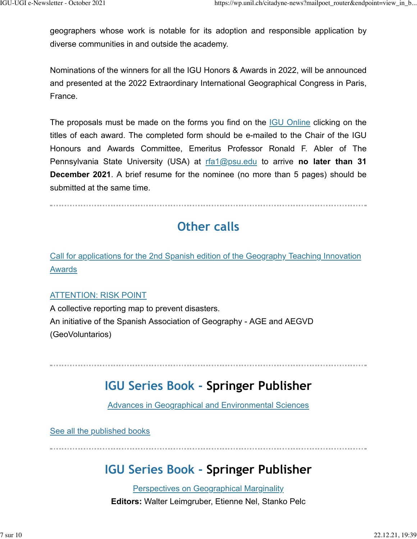geographers whose work is notable for its adoption and responsible application by diverse communities in and outside the academy.

Nominations of the winners for all the IGU Honors & Awards in 2022, will be announced and presented at the 2022 Extraordinary International Geographical Congress in Paris, France.

The proposals must be made on the forms you find on the [IGU Online](https://igu-online.org/igu-2021-awards-still-available-for-nomination/) clicking on the titles of each award. The completed form should be e-mailed to the Chair of the IGU Honours and Awards Committee, Emeritus Professor Ronald F. Abler of The Pennsylvania State University (USA) at [rfa1@psu.edu](mailto:rfa1@psu.edu) to arrive **no later than 31 December 2021**. A brief resume for the nominee (no more than 5 pages) should be submitted at the same time.

### **Other calls**

[Call for applications for the 2nd Spanish edition of the Geography Teaching Innovation](https://www.age-geografia.es/site/convocatoria-ii-edicion-premios-de-innovacion-docente-en-geografia/) [Awards](https://www.age-geografia.es/site/convocatoria-ii-edicion-premios-de-innovacion-docente-en-geografia/)

#### [ATTENTION: RISK POINT](https://www.age-geografia.es/site/atencionpunto-de-riesgo-un-mapa-colectivo-de-denuncia-para-prevenir-desastres-iniciativa-de-la-agey-aegvd-geovoluntarios/)

A collective reporting map to prevent disasters. An initiative of the Spanish Association of Geography - AGE and AEGVD (GeoVoluntarios)

### **IGU Series Book - Springer Publisher**

[Advances in Geographical and Environmental Sciences](https://www.springer.com/series/13113?detailsPage=titles)

[See all the published books](https://www.springer.com/series/13113?detailsPage=titles)

## **IGU Series Book - Springer Publisher**

[Perspectives on Geographical Marginality](https://www.springer.com/series/15046) **Editors:** Walter Leimgruber, Etienne Nel, Stanko Pelc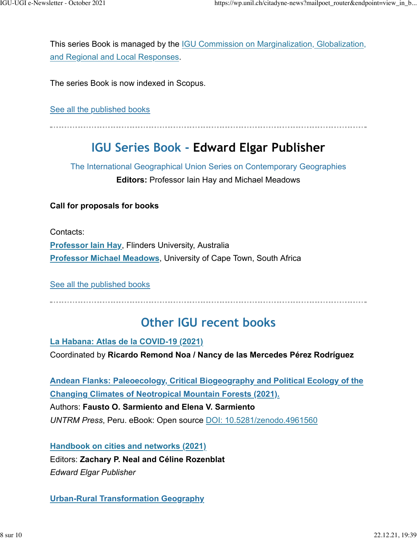This series Book is managed by the **IGU Commission on Marginalization**, Globalization, [and Regional and Local Responses.](https://sites.google.com/site/stankopelc/)

The series Book is now indexed in Scopus.

[See all the published books](https://www.springer.com/series/15046?detailsPage=titles)

### **IGU Series Book - Edward Elgar Publisher**

The International Geographical Union Series on Contemporary Geographies **Editors:** Professor Iain Hay and Michael Meadows

#### **Call for proposals for books**

Contacts:

**[Professor Iain Hay](mailto:iain.hay@flinders.edu.au)**, Flinders University, Australia **[Professor Michael Meadows](mailto:michael.meadows@uct.ac.za)**, University of Cape Town, South Africa

[See all the published books](https://www.e-elgar.com/shop/gbp/book-series/environment/the-international-geographical-union-series-on-contemporary-geographies.html)

### **Other IGU recent books**

**[La Habana: Atlas de la COVID-19 \(2021\)](https://www.libreriavirtualcuba.com/productos.php?producto=701)** Coordinated by **Ricardo Remond Noa / Nancy de las Mercedes Pérez Rodríguez**

**[Andean Flanks: Paleoecology, Critical Biogeography and Political Ecology of the](https://zenodo.org/record/4961560#.YX8YOXngkUQ) [Changing Climates of Neotropical Mountain Forests \(2021\).](https://zenodo.org/record/4961560#.YX8YOXngkUQ)** Authors: **Fausto O. Sarmiento and Elena V. Sarmiento** *UNTRM Press*, Peru. eBook: Open source [DOI: 10.5281/zenodo.4961560](https://zenodo.org/record/4961560#.YX8YOXngkUQ)

**[Handbook on cities and networks \(2021\)](https://www.e-elgar.com/shop/gbp/handbook-of-cities-and-networks-9781788114707.html)** Editors: **Zachary P. Neal and Céline Rozenblat** *Edward Elgar Publisher*

**[Urban-Rural Transformation Geography](https://link.springer.com/book/10.1007/978-981-16-4835-9)**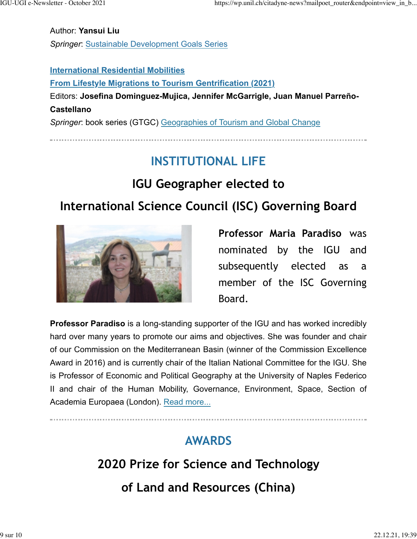Author: **Yansui Liu**

*Springer*: [Sustainable Development Goals Series](https://link.springer.com/bookseries/15486)

#### **[International Residential Mobilities](https://link.springer.com/book/10.1007/978-3-030-77466-0)**

**[From Lifestyle Migrations to Tourism Gentrification \(2021\)](https://link.springer.com/book/10.1007/978-3-030-77466-0)** Editors: **Josefina Dominguez-Mujica, Jennifer McGarrigle, Juan Manuel Parreño-Castellano** *Springer*: book series (GTGC) [Geographies of Tourism and Global Change](https://link.springer.com/bookseries/15123)

# **INSTITUTIONAL LIFE**

# **IGU Geographer elected to**

# **International Science Council (ISC) Governing Board**



**Professor Maria Paradiso** was nominated by the IGU and subsequently elected as a member of the ISC Governing Board.

**Professor Paradiso** is a long-standing supporter of the IGU and has worked incredibly hard over many years to promote our aims and objectives. She was founder and chair of our Commission on the Mediterranean Basin (winner of the Commission Excellence Award in 2016) and is currently chair of the Italian National Committee for the IGU. She is Professor of Economic and Political Geography at the University of Naples Federico II and chair of the Human Mobility, Governance, Environment, Space, Section of Academia Europaea (London). [Read more...](https://igu-online.org/geographer-elected-to-international-science-council-governing-board/)

# **AWARDS**

# **2020 Prize for Science and Technology of Land and Resources (China)**